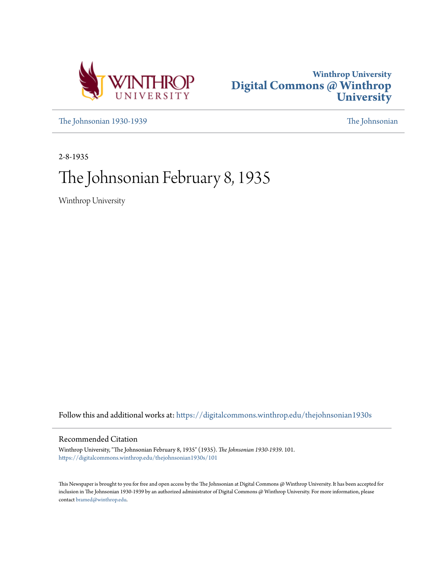



[The Johnsonian 1930-1939](https://digitalcommons.winthrop.edu/thejohnsonian1930s?utm_source=digitalcommons.winthrop.edu%2Fthejohnsonian1930s%2F101&utm_medium=PDF&utm_campaign=PDFCoverPages) [The Johnsonian](https://digitalcommons.winthrop.edu/thejohnsonian_newspaper?utm_source=digitalcommons.winthrop.edu%2Fthejohnsonian1930s%2F101&utm_medium=PDF&utm_campaign=PDFCoverPages)

2-8-1935

# The Johnsonian February 8, 1935

Winthrop University

Follow this and additional works at: [https://digitalcommons.winthrop.edu/thejohnsonian1930s](https://digitalcommons.winthrop.edu/thejohnsonian1930s?utm_source=digitalcommons.winthrop.edu%2Fthejohnsonian1930s%2F101&utm_medium=PDF&utm_campaign=PDFCoverPages)

## Recommended Citation

Winthrop University, "The Johnsonian February 8, 1935" (1935). *The Johnsonian 1930-1939*. 101. [https://digitalcommons.winthrop.edu/thejohnsonian1930s/101](https://digitalcommons.winthrop.edu/thejohnsonian1930s/101?utm_source=digitalcommons.winthrop.edu%2Fthejohnsonian1930s%2F101&utm_medium=PDF&utm_campaign=PDFCoverPages)

This Newspaper is brought to you for free and open access by the The Johnsonian at Digital Commons @ Winthrop University. It has been accepted for inclusion in The Johnsonian 1930-1939 by an authorized administrator of Digital Commons @ Winthrop University. For more information, please contact [bramed@winthrop.edu](mailto:bramed@winthrop.edu).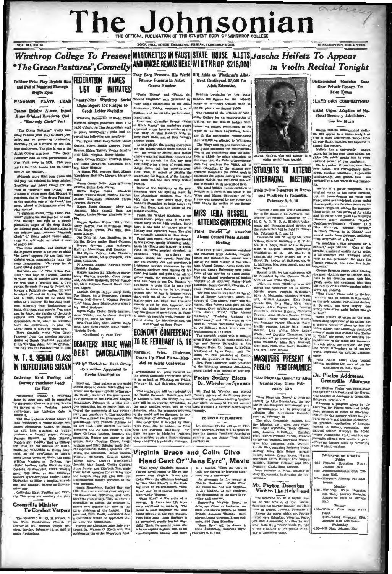# achier The Johnsonian

Winthrop College To Present MARIONETTES IN FAUST STATE HOUSE ALLOTS Jascha Heifetz To Appear

"The Green Pastures", Connelly AND UNCLE REMUS HERE WINTHROP \$215,000 **In Violin Recital Tonight** Tony Sarg Presents His World Bill Adds to Winthrop's Allot-Pulitzer Prize Play Depicts Rise FEDERATION NAMES **Famous Puppets in Artist** ment Contingent \$5,000 for **Adult Education Course Number** and Fall of Mankind Through **LIST OF INITIATES** Neare Even "Uncle Remus" and "Paud, the Pending legis lation by the Sta **HARRISON PLAYS LEAD** Twenty-Nine Winthrop Social Wicked Magician" were presented by Senate, the figures for the 1915-36 Tony Sarg's Marionettes in the Main budget of Winthrop College stand at Clubs Report 152 Pledges to Auditorium, Friday, Pebruary 1, at a 00, plus a contingent \$5,000. Drama Retains Almost Intact **Creek Letter Replation** matther and an evening performance The request of the officials of Winmasther and an evening performance,<br>respectively.<br>From Joel Chandler Harris' "Takes<br>of Uncle Remta" the miniature actors<br>appeared in the favorite stories of the<br>Tar Baby, of Brer Rabbit's Ride on<br>Berr Foats Back, and of Br **Hope Original Broadway Cast** throp College for an appropr Winthror, Pederation of Social Clubs -"Heavenly Choir" Part vantator records and the count of the limit of the limit of the limit of the limit of the limit of the limit of the limit of the period of the period of the period of the period of the following new members: \$289,745 for the 1935-36 budget wer,t The component state in the state of the state in the state in the state in the state in the state in the state in the state in the state in the state in the state in the state in the state in the state in the state in the before the budget commission. In its Jascha Heifets, distingui es." widely he alded Pulltuer prise play by Marc Conary 10, the commission recoall ow attend the co B ascha Heifets, who will appear

**VOL. XII, NO. 16** 

Catherine Hunt Pauling and Derethy Thackston Coach

#### the Play

Hencired: "That nations of the world<br>mould agree to cancel inter-allied war<br>debts" was the query updied by Margue-<br>rice Zeizler, leader of the government,<br>at a meeting of the Debatter" League,<br>at a meeting of the Debatter "Introducia" Susan," a rollicking farre in three sets, will be presented by the Senior Class of Winthrop Train-<br>ing Selvel in the Training Train-<br>ing Selvel in the Training Sehool and<br>itorium; the tentative date is Wednesday, February 6, in Clio Hall<br>The opposition, led by Rachel Hitt, at

ing Gebbol in the Training Behod is the stationary and another and a relative data is Marque in the station of the station of the Cause of the Cause of the Cause of the Cause of the Cause of the Cause of the Cause of the ment and overtherw it. The oppositor will now aucceed the government: the government; the new teader, with succeed the back-benders, such tensors of the match and the back-benders, such Mary Gallman leading, becomes the Mary Gauman leagung, accomes the<br>opposition. During the course of the<br>photo, Mary Caroline Ulmer, Lucile<br>Bigham, and Ellen Critcher made their extrimperations matden appearant. Pre-<br>exciting the discussion, Jeniel Beason.<br>Forences. Richbourg, Gardyn Norris, Jellian Maya, Mart, an Hawthorne, Jeniel Beason, Chatter and Maya Guyton, Jeniel Burdy, and Elizabeth Rel m next meeting.<br>
Rachel Hay, and<br>
Lilla Bush were elected chief whips of<br>
the sovernment, opposition, and back-<br>
benchers. respectively. They will form a<br>
benchers. respectively. They will form a<br>
committee to discuss the se er one.

erinc Hunt Paulling and Do thy Thackston are coaching the play.

## **Greenville Minister**

**Greenville Minister** consume the distribution of the stretion of the League that  $\mathbf{T}_0$  (unreduct  $\mathbf{V}$  capacity of a minister of the League. The Reverent Mr. O. R. Rhown, of a consulter would be appointed also prin

tacked the arguments of the govern-<br>ment and overthrew it. The opposition

ext mperanceus maiden speeches. Pre-

icraporamesses.<br>next meeting.<br>annie Rosenblum, Rachel Hay, and

**Example 19 and 19 and 19 and 19 and 19 and 19 and 19 and 19 and 19 and 19 and 19 and 19 and 19 and 19 and 19 and 19 and 19 and 19 and 19 and 19 and 19 and 19 and 19 and 19 and 19 and 19 and 19 and 19 and 19 and 19 and 19** 

# Virginia Bruce and Colin Clive Head Cast Of "Jane Eyre", Movie **Anche Eyre"**, Wiowie<br>
an a leader. When also the tries to the state that the state trains be translated trains be two mail black<br>
near a discharged by low and klad-<br>
near a discharged by the masser of Charles Reviewer (C

The GM D. Control of the State of the State State State State State State State State State State State State State State State State State State State State State State State State State State State State State State Stat

locale is rural England; the time<br>about midway in the past century.<br>First little Jane (Jean Darklay) is<br>an unwanted, cruelly treated step-<br>child. Thea, for acrossi years, she<br>is in an orphan anylum, first us an<br>icon-discip

The conderestor different countries. TO RFEAK IN FLORENCE parts Price, the standard by Mar-<br>
parts Price, the is a smalled by Mar-<br>
parts Price, the is a smalled by Mar-<br>
Cole and Florence Richbourg. The even temperature

of the Winthrop Alumnae Ameetation,<br>the World Economic Corresponding the World Economic Contenuor Contenuor<br>is to be held at Winthrop on Pricky. Poetry Society Elects<br>Figures 16, and Saturday, Pictures;<br>In Prick and Saturd

The play, thoroughly mode lowing cast: Glec. Ann Ware Mrs. Roger Wyndha  $m.$  "B th" Gibson Arra, Annette McCollum; Ciardum, Anny, Annette McCollum; Ciardum, Matalie, Francesca, Statistica, Maryland Wilson, Claribel Miss May Jefferson, Julie Warren<br>Amelia Pike, Madeline Padgett; Vivia: America Pare, mauching Pumpers, viving Menkins, Eleanor Hobson; and Mr.<br>Benjamin Clark, Sara Crosson, Misa Piorence A. Mims, assisted b

Mary Haynsworth, is direct

## Mr. Peyton Describes

STUDENTS TO ATTEND INTERRACIAL MEETING

Twenty-five Delegates to Repre sent Winthrop in Columbia, February 8, 9, 10

"Human Needs and World Christian ity" is the theme of an internetal con-<br>ference on religion, sponsored by Y.<br>M. C. A., Y. W. C. A., Student Volunteem, and denominational groups of<br>the state which will be held in Columida, February 8, 9, and 10

the state which will be held in Galum-<br>
the state which will be held to Galum-<br>
Distantion will be left by Mr. Jessey<br>
Distance of the State Windows of the Distance of all Millenon, Ocencral Becretary of S. V. M.<br>
Milleno Commbers, Rebecca Roberts, Etizabeth<br>Piterson, Anna Marian Busbee, Lillian<br>Hogarth, Pinkie Webb, Minna Nuess ner, Suzanne Parker, Silzabeth Byers.<br>Lacille Pearson, Louise Hall, Isabel<br>Keaton, Lina Wi-ite, Mary Louise White, and Dorothy Thackst n. The panied by Miss delegates will be note Eliza Wardlaw, Miss Sara Cragwell,<br>Miss Chlo Fink, Miss Stella Bradfield and Mrs. Reese Massey.

## **MASQUERS PRESENT A PUBLIC PERFORMANCE**

'Glee Plays the Game," by Alice Gerstenberg, Given Feb-

ruary 16th

"Glee Plays the Game," a three-a cancely by Alice Geratemberg, the wee-<br>conedy by Alice Geratemberg, the wee-<br>ond of the Masquers' semi-annual pub-<br>lie performances, will be presented in<br>Johnson Hall Auditorium Saturday evening, Pebruary 18,

Visit to The Holy Land

**FOR EXECUTE THE REPAIR OF THE REPORT OF THE REPORT OF SEVERAL EXECUTION OF SEVERAL EXECUTION CONSULTANTS AND STATE OF SEVERAL CONSULTANTS OF SEVERAL CONSULTANTS AND STATE THAT IS THE SECTION OF SEVERAL STATE THAT IS THE** 

Distinguished Munician One Gave Private Concert For **Helen Keller** 

**SUBSCRIPTION, \$1.00 A YEAR** 

PLAYS OWN COMPOSITIONS

Artist Urges Adoption of National Recove y Administration for Music

ist, will appear in a recital tenight at 8:30 in Main Auditorium. People from n<br>from<br>id to er South Carolina are exp

attend the concert<br>measurements through the state of the pair of the name of the paint of<br>measure of the paint of the continents, it is public away of two continents,<br>clysted of the continents, it is not continent of the

eifetz is a gifted com original works has never revealed,<br>but his transcriptions for violin and<br>plano, some acknowledged, others veiled<br>in anonymity, are familiar items on his concert programs. Among the composisome well are now arranged row volume and which he often plays are Rienaloy's "Rumble Bee," Hummel's "Rondo,"<br>"Bumble Bee," Hummel's "Rondo,"<br>"Sca Murmurs," Albenig" said "Sevilla," "Sca Murmurs," Albenig" "Sevilla," "Sevi several works from Debussy, in-<br>"The Afternoon of a Feun."

"The Atlernoon of a Poun."<br>
A musician always prepares for a concert," any Heileits. "One of the<br>structure free states in the state is the audience. The audience music<br>state of the state weat to the performer—the more the

Corres Bernard Shaw, after hearing the corresponding the space of the back to his dressing room, took him<br>the great violinist prom, took him<br>the beauty of his antening room, took him<br>the beauty of his music-making might<br>pr

or the gods be<br>it. So would ome jealous and destroy it. So would you mind playing one wrong note every night before you go to bed?"<br>What Heifetz describes as the most

nteresting experience of his ca a private "concert" given by him for sense of touch that enabled Miss Eeller<br>to "hear" the music, her unerring receptiveness in the to "near" the music, here unever all<br>as Relies expirements in the mond and character of each piece, the my<br>next, the mytery, the pity, the state and characterism of the whole<br>almosphere as of another state in<br>bothd, impres

ously.<br>
Miss Keller stood close behind<br>
Heifeiz touching the back of the in-<br>
(Continued on page four)

#### Dr. Phelps Addre **SECA** Greenville Alumnae

Dr. Shelton Phelps was honor-guest and speaker at a meeting of the G ville chapter of Alumnae in Green

ville chapter of Alaxonse in overcent<br>alaxonse in Oreenville, Belowing a proposition of the Alaxonse policy<br>in policy and the project of the project of the project of the distribution<br>(that of the distribution) that of the

#### CALENDAR OF EVENTS Friday<br>4:15-Physical Education Club.

**CALCON FIELD.** 4:15-Porceps a ad Scalpel Club. Tillman Hall.

Monday<br>
Monday<br>
6:30-Winthrop, Wadr Hampton,<br>
and Curry Literary Societies.<br>
Respective halls of Johnson<br>
wan

Tuesday<br>4:30-Writers' Club. Mias Hall's

home,<br>@:30—Young Femocrat Club<br>Johnson Eall Auditorium, Wednesday<br>4:30-4-R Club, Johnson Hall,

ers. Johnson Hall and

 $5.00 - Mac$ 

ranga<br>Rali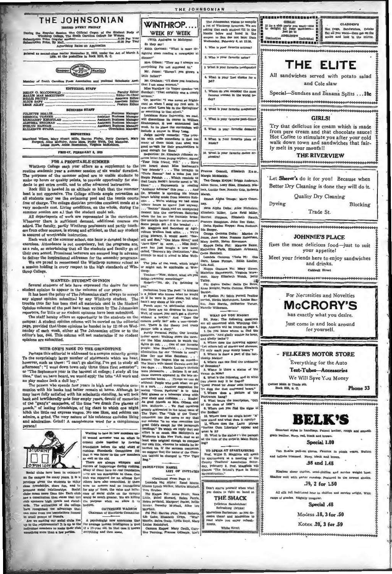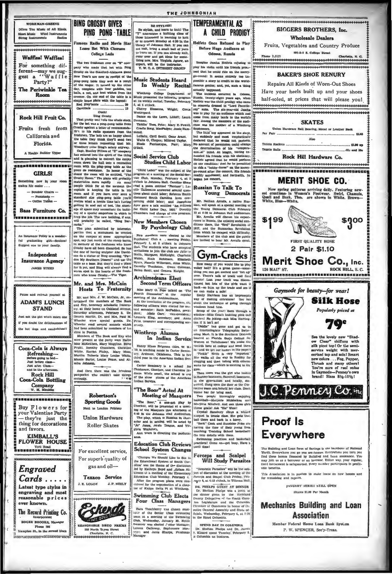# **BING CROSBY GIVES**

ers You Music of All Kin Sheet Music Wind Justruments

**EENR** 

#### Waffles! Waffles!

For something different-may we sug-<br>gest a "Waffle

Party?" The Periwinkle Tea Room

#### Rock Hill Fruit Co.

Fruits fresh from California and Florida.

alth Builder Th

...............

**GTRLS!** the new in your tes Nie easter  $-$  Boudoir Chairs

- Pontsta - constania<br>- Coffee Tables

R. as Furniture Co. 

An Insurance Policy is a w ful graduating gift-Seniors Sugg est one to your family.

Independent **Insurance Agency JAMES STEED** 

and refresh yourself at **ADAM'S LUNCH STAND** 

sk the sirl who's esten of if you doubt the delief

the hot dogs and sandwic

Coca-Cola is Always Refreshing-<br>Refreshing-<br>Before going to bed-<br>Just before classand in the afte **Rock Hill** Coca-Cola Bottling

Company<br>W. M. Mauidin

Energessepperson Buy Flowers for your Valentine Party -they're just the<br>thing for decorations and favors.

**KIMBALL'S FLOWER HOUSE:** Fort Road<br>IBEBEBERBERGESSEER

Engraved

 $Cards...$ Latest type styles in engraving and most<br>reasonable prices

ever known, The Record Printing Co. Incorporate

**ROGER BROOKS, May** ue 164

l'iampion St., in the second block

PING PONG - TABLE

Famous Radio and Movie Star Loses Bet With Clemson College Lads

The two freshmen over on "K" comany who made that bet with Bing Crosby on the Stanford-Alabama gam Grouby on the Stanford-Albhouns game<br>of the results of the New Year's nearest integrals the tear won as a remain<br>of the wager. It turned up this other by the state of<br> $\Delta t$  the wager. It turned up the<br>design team of the s

 $\frac{1}{13}$ dinals ... Ouch!

Ouch!<br>Eling Crosby<br>That pretty well tells the whole ste

That predicts are the Lawrence on the Lawrence of the Lawrence on the Lawrence on the Lawrence on the Lawrence Computer (Computer Computer) (Computer (Computer) (Computer) (Computer) (The lawrence of the radio of the law

ment.<br>The pian submitted by interested<br>parties that a monument be crected<br>appl, say just north of the sheep barna,<br>in memory of the freehmen who know spot, asy just norm of the resep barral,<br>In memory of the freshmen who knew<br>Crosby have all been discarded. So has<br>the one of having sculptor Abe David-<br>son do a statue of Bing crooning. "Par-<br>don My Southern Dissent" and table as a base. But they'll find a place for it yet, and Bing will always find a warm spot in the hearts of the fre

Mr. and Mrs. McCain **Hosts To Fraternity** 

d Mrs. J. W. McC tertained the members of The Book<br>and Key, honorary schobastic fratern-<br>ity, at their home on Oakland Avenue, Saturday afternoon, Pebruary 2. Dr.<br>Donnis Martin, Dr. and Mrs. Paul M. Wheeler were special guests. Dr. Pitts, treater read several sonnets which relays. Wheeler had been submitted by members of his lass in Poetics.

 $\overline{M}$ bers of The Book and Key wh members of the Book and tey who were present at the party were Hallie Mass Mary Magginis. Billie Pruiti, Dorothy Chambers, Christine White, Warry Magginis Mary Mass, Married The Pieley. Mary Mous, Martha Tolberts Mary Loui Mamle Sartor, Louise Peace, and Al mira Ja

And then there was the frivolous<br>ickpocket who couldn't take things pickpocket<br>seriously,

> Robertson's **Sporting Goods** Next to London Printery

**Union Hardware Roller Skates** 

For excellent service For superb quality of gas and oil-

Texaco Service  $J.$  R. LOUGH J. P. NEELY

Eckerde \*\*\*\*\*\*\*\*\*\*\*\*\*\*\*\*\*\*



128 North Types Sta

BE STYLISH!<br>
Be skylish, and learn to kuit! The<br>
"Y" anomores a knitting class of<br>
those interested in learning to tother<br>
those interested in learning to tother<br>
library of Johnnon Hall. If you can<br>
not knit, bring a smal come over and get ideas for some-

THE JOHNSONIAN

expert, will be the instructor.<br>Y. W. C. A. DUTEREST GROUP Music Students Heard Weekly Recital In

Winthrop College Department of Music presented the following program<br>at its weekly recital, Tuesday, Pebruary

 $6.46$ Cherry Bl ma Whistophia Ches  $n<sub>0</sub>$ ce on the Lawn, Littoff; Laun

By Psychology Club

New members were checked to the Peychnoy (Olb a meeting Pricky Polyhong Color and Peychnoy 3. In the discrete in administration in the line of the checked in the interaction of the checked in the line of the Walter, Check

#### **Archimedeans Elect Second Term Officers**

Miss Mary G. Pope talked on The neeting of the Archi

meeting of the Archimedeans,<br>At the conclusion of the program, the<br>following officers were circted for sec-<br>and semestar: Ruth MePadden, preasured ont;<br>dentity defined Chart; vice-president,<br>viconorus King, secretary; and

#### Winthrop Alumna In Indian Service

Nancy Hines Brignan (Mrs. W. B. 19, is teaching music in Curter Seminary. Ardmore, Oklahoma. This is he third year in the American Indian Ser-

vice.<br>Carter Seminary is a school for<br>Chicksaaw, Checkav, and Cherokee Indiana. White small, the school is one<br>of the show places of the American<br>Indian Service.

#### "The Boor" Acted At **Meeting of Masquers**

The Boor." a small play by The Control of the presented at a meeting of the Manguers that at accompanies of the Manguers of the play, which is a start and in a share a start and the state and in settling will be acted by " are is directing the ne

**Education Club Reviews School System Changes** 

Changes We Should Like to See in Columbus 1994<br>The Educational System of South Carlins was the therme of the discussion<br>led by Katkryn Boyd and Juram At a list in the Shenentary of the Shenentary<br> $\lambda$ . Each Education Club

**Swimming Club Elects** Four Class Managers

Form Touchberry was chosen man-<br>now of the denker Chas swimming tenm at a meeting of the Swimming Chab.<br>Wednesday, January 30. Helife Chab.<br>Neveney was elected 7-minor Managery.<br>Levenen Calloway, Sephonore Man-<br>Namager .

#### A CHILD PRODIGY Heifetz Once Refused to Play Before Huge Audience at Odessa, Russia

**TEMPERAMENTAL AS** 

Imagine Jascha Helfets refusing to play his violin until his friends promised that he could ride on the merrygo-round! It seems entirely too insaible a story to er dit to the famous genius; and, yet, such a thing

famous genlar; and, yet, such a thing<br>actually happened. The incleased cocurred in Codema Counting Russia. Teenly-eight years ago, where<br>the Helfets was the child produgy who can be to concert a dressed in "Lord Fauntie"<br>

The union of the state of the state of the state of the state of the state of the state of the state of the state of the state of the state of the state of the state of the state of the state of the state of the state of t anount of persuasion could change<br>determination of his "temperation" and the special " mind. At length, having extend this designation<br>at the appreciation with his designation is appreciated that he would perform<br>te condi on one condition: that he be possed on one condition: that he be possible a "hobby-horse" on the rt. His frier ed; and forthwith.

## **Russian To Talk To** Young Democrats

A country and the state of the state of the state of the State Resident Chevan Pennet and the State Park of the State of the Architecture of the Architecture of the Architecture of the State of the State of the State of th

## Gym-Cracks ay of you would like to p

How many of you would like to play like to play voltain the area<br>of your would like to play voltage bout? It is a great game –<br>some-connection of the play over . There is taked in the state of the<br>distribution of the grid

"Diddie" has gone and got us in<br>an Intercollegiate Telegraphic Swim-<br>ming Masi. It is the Bouthern Division<br>located at Plorida State College for<br>Women at Tallahassee! We make the records here at coilege and send their records nere at coutege and send them<br>in-and we get our numes in the paper!<br>"Pinkle" Webb is very "regusted."<br>Sinc walks all the way to Roddey for<br>clogging and then (along with others)<br>walls for class—which is meeting in t

which for class—which is meeting in the grain of the ways the grain is grain.<br>The there was the grain via booked phasement, Barerovi basement, in Regular<br>states, in the gravitation of the Correlation of the grain state (s

ug pr

ne an-get busy. Have

## Forceps and Scalpel<br>Will Study Parasites

"Domestic Parasites" will be the subject of discussion at the meeting of the<br>Forcepa and Beapel Olub Priday, February 4, at 4:15 o'clock, in Tillman Hall.

DIL PHELPS GUEST AT DINNER FIRE THERE OURSE TO USE THE RESERVE TO THE RESERVE CONDUCT USE THE RESERVE CONTINUES TO CONTROL THE CONTROL CONTROL CONTROL CONTROL CONTROL CONTROL CONTROL AND SERVED TO CONTROL ASSEMBLY THE DESCRIPTION OF THE POLE CONTRO

#### SPEND DAY IN COLUMBIA

Dr. Shelton Phelps and Dr. James<br>3. Kinard spent Tuerday, Pebruary 5.<br>3. Columbia on business.

|  | <b>Rock Hill Hardware</b> |      |  |
|--|---------------------------|------|--|
|  |                           |      |  |
|  |                           | Also |  |
|  |                           |      |  |

\*\*\*\*\*\*\*\*\*\*\*\*\*\*\*\*\*\*\*\*\*\*\*\*\*\*\*\*\*\*\*

\*\*\*\*\*\*\*\*\*\*\*\*\*\*\*\*\*\*\*\*\*\*\*\*\*\*\*\*\*\*

# **MERIT SHOE CO.**

**BIGGERS BROTHERS, Inc.** 

**Wholesale Dealers** 

Fruits, Vegetables and Country Produce

501-3-5 S. College Street

**RAKER'S SHOE RENURY** 

Repairs All Kinds of Worn-Out Shoes

Have your heels built up and your shoes

half-soled, at prices that will please you!

**SKATES** 

**Ball Bearing, Metal or Leather B** 

51.65

Allo and Kay

 $C_{\Omega}$ 

more in any

New spring patterns arriving daily, Featuring new-<br>est creations in Women's Footwear. Swirl, Chamois,<br>Quail and Buck. Thes. are shown in White, Brown--<br>White, Blue-White,



2 Pair \$1.10

Merit Shoe Co., Inc. 126 MAI?' ST. **ROCK HILL**  $\leq C$ ------------------------------------

Gaymode for beauty-for wear! **Silk Hose** Popularly priced at **70°** See the lovely new "Shad-ow Clear" chiffons with<br>silk picot top! Or the semi-

C. PENMEY Co. inc

 $_{\rm circ}$  sumding and Lean form of Savings is the backbone of Mational Thrift. Everyther pou $_{\rm 2}$  symme are homes. Everywhere pou $_{\rm 100}$  mass and find these homes imageed by Building and Leon assistance. You may join

This A-sociation is in positom to make iouns on new houses and

**JANGARY SERIES STILL OPEN** 

Shares \$1.00 Per Month

**Mechanics Building and Loan** 

**Association** 

Member Federal Home Loan Bank System

P. W. SPENCER, Sec'y-Treas,

service weight with mer-<br>cerized top and sole! Smart cerized top and sole i Smart<br>Thrush and many others!<br>Thrush and many others!<br>You're sure of real value<br>in Gaymode—Penney's own<br>brand! Sizes 81/2-101/2!

**Proof Is Everywhere**